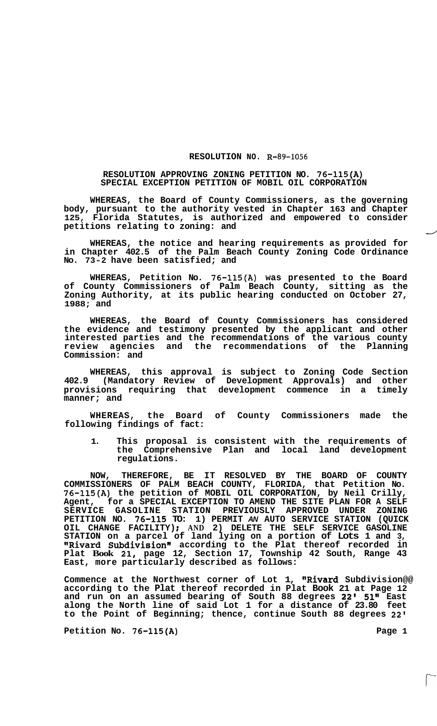## **RESOLUTION NO. R-89-1056**

## **RESOLUTION APPROVING ZONING PETITION NO. 76-115(A) SPECIAL EXCEPTION PETITION OF MOBIL OIL CORPORATION**

**WHEREAS, the Board of County Commissioners, as the governing**  body, pursuant to the authority vested in Chapter 163 and Chapter 125, Florida Statutes, is authorized and empowered to consider petitions relating to zoning: and **125, Florida Statutes, is authorized and empowered to consider** 

**WHEREAS, the notice and hearing requirements as provided for in Chapter 402.5 of the Palm Beach County Zoning Code Ordinance No. 73-2 have been satisfied; and** 

**WHEREAS, Petition No. 76-115(A) was presented to the Board of County Commissioners of Palm Beach County, sitting as the Zoning Authority, at its public hearing conducted on October 27, 1988; and** 

**WHEREAS, the Board of County Commissioners has considered the evidence and testimony presented by the applicant and other interested parties and the recommendations of the various county review agencies and the recommendations of the Planning Commission: and** 

**WHEREAS, this approval is subject to Zoning Code Section 402.9 (Mandatory Review of Development Approvals) and other provisions requiring that development commence in a timely manner; and** 

**WHEREAS, the Board of County Commissioners made the following findings of fact:** 

**1. This proposal is consistent with the requirements of the Comprehensive Plan and local land development regulations.** 

**NOW, THEREFORE, BE IT RESOLVED BY THE BOARD OF COUNTY COMMISSIONERS OF PALM BEACH COUNTY, FLORIDA, that Petition No. 76-115(A) the petition of MOBIL OIL CORPORATION, by Neil Crilly, Agent, for a SPECIAL EXCEPTION TO AMEND THE SITE PLAN FOR A SELF SERVICE GASOLINE STATION PREVIOUSLY APPROVED UNDER ZONING PETITION NO. 76-115 TO: 1) PERMIT** *AN* **AUTO SERVICE STATION (QUICK OIL CHANGE FACILITY)** ; **AND 2) DELETE THE SELF SERVICE GASOLINE STATION on a parcel of land lying on a portion of Lots 1 and 3, @@Rivard Subdivision" according to the Plat thereof recorded in Plat Book 21, page 12, Section 17, Township 42 South, Range 43 East, more particularly described as follows:** 

**Commence at the Northwest corner of Lot 1, "Rivard Subdivision@@ according to the Plat thereof recorded in Plat Book 21 at Page 12 and run on an assumed bearing of South 88 degrees 22' 51" East along the North line of said Lot 1 for a distance of 23.80 feet to the Point of Beginning; thence, continue South 88 degrees 22'** 

Petition No. 76-115(A) Page 1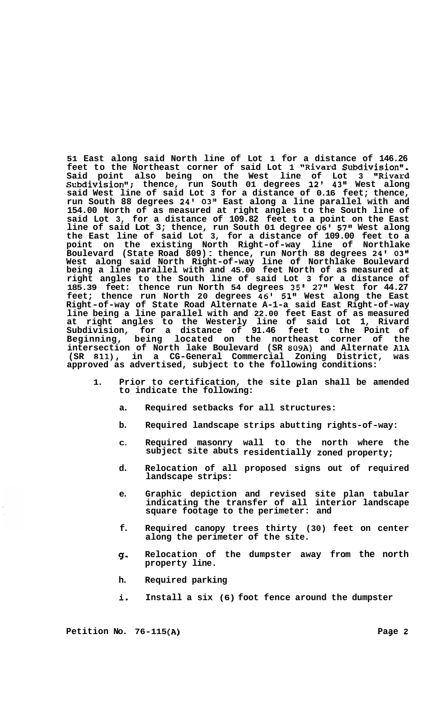**51 East along said North line of Lot 1 for a distance of 146.26**  feet to the Northeast corner of said Lot 1 "Rivard Subdivision". **Said point also being on the West line of Lot 3 "Rivard Subdivisiont1; thence, run South 01 degrees 12' 43" West along said West line of said Lot 3 for a distance of 0.16 feet; thence, run South 88 degrees 24' 03" East along a line parallel with and 154.00 North of as measured at right angles to the South line of said Lot 3, for a distance of 109.82 feet to a point on the East line of said Lot 3; thence, run South 01 degree 06'** *57''* **West along the East line of said Lot 3, for a distance of 109.00 feet to a point on the existing North Right-of-way line of Northlake Boulevard (State Road 809)** : **thence, run North 88 degrees 24' 03" West along said North Right-of-way line of Northlake Boulevard being a line parallel with and 45.00 feet North of as measured at right angles to the South line of said Lot 3 for a distance of 185.39 feet: thence run North 54 degrees 35' 27" West for 44.27 feet; thence run North 20 degrees 46' 51" West along the East Right-of-way of State Road Alternate A-1-a said East Right-of-way line being a line parallel with and 22.00 feet East of as measured at right angles to the Westerly line of said Lot 1, Rivard Subdivision, for a distance of 91.46 feet to the Point of Beginning, being located on the northeast corner of the intersection of North lake Boulevard (SR 809A) and Alternate A1A (SR 811), in a CG-General Commercial Zoning District, was approved as advertised, subject to the following conditions:** 

- **1. Prior to certification, the site plan shall be amended indicate the following:**  to indicate the following:
	- **a. Required setbacks for all structures:**
	- **b. Required landscape strips abutting rights-of-way:**
	- **C. Required masonry wall to the north where the subject site abuts residentially zoned property;**
	- **d. Relocation of all proposed signs out of required landscape strips:**
	- **e. Graphic depiction and revised site plan tabular indicating the transfer of all interior landscape square footage to the perimeter: and**
	- **f. Required canopy trees thirty (30) feet on center along the perimeter of the site.**
	- *Q.*  **Relocation of the dumpster away from the north property line.**
	- **h. Required parking**
	- **io Install a six (6) foot fence around the dumpster**

**Petition No. 76-115 (AI** .. *---a-* **Paae 2** -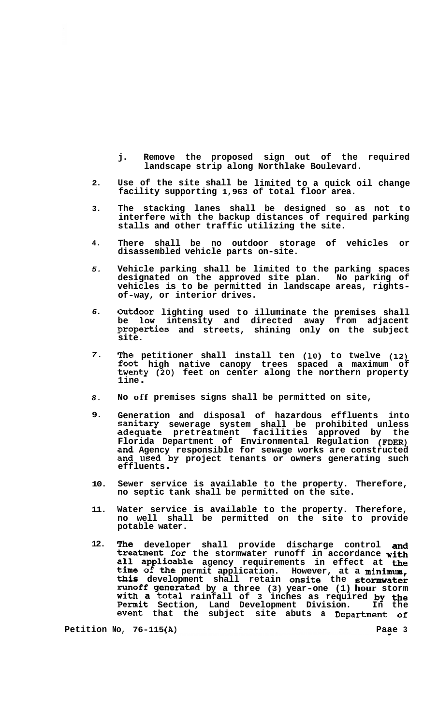- **j. Remove the proposed sign out of the required landscape strip along Northlake Boulevard.**
- **2. Use of the site shall be limited to a quick oil change facility supporting 1,963 of total floor area.**
- **3. The stacking lanes shall be designed so as not to interfere with the backup distances of required parking stalls and other traffic utilizing the site.**
- **4. There shall be no outdoor storage of vehicles or disassembled vehicle parts on-site.**
- *5.*  **Vehicle parking shall be limited to the parking spaces designated on the approved site plan. No parking of vehicles is to be permitted in landscape areas, rights- of-way, or interior drives.**
- *6.*  **Outdoor lighting used to illuminate the premises shall be low intensity and directed away from adjacent Properties and streets, shining only on the subject site.**
- *7.*  **The petitioner shall install ten (10) to twelve (12) foot high native canopy trees spaced a maximum of twenty (20) feet on center along the northern property 1 ine** .
- *8.*  **No off premises signs shall be permitted on site,**
- **9. Generation and disposal of hazardous effluents into sanitary sewerage system shall be prohibited unless adequate pretreatment facilities approved by the Florida Department of Environmental Regulation (FDER) and Agency responsible for sewage works are constructed and used by project tenants or owners generating such effluents** .
- **10. Sewer service is available to the property. Therefore, no septic tank shall be permitted on the site.**
- **11. Water service is available to the property. Therefore, no well shall be permitted on the site to provide potable water.**
- **12. The developer shall provide discharge control and treatment for the stormwater runoff in accordance with all applicable agency requirements in effect at the**  time of the permit application. However, at a minimum **this development shall retain onsite the stormwater runoff generated by a three (3) year-one (1) hour storm with a total rainfall of 3 inches as required by the Permit Section, Land Development Division. In the event that the subject site abuts a Department of**

**Petition No, 76-115(A)** 2014 2022 2023 2024 2024 2022 2022 2024 2022 2023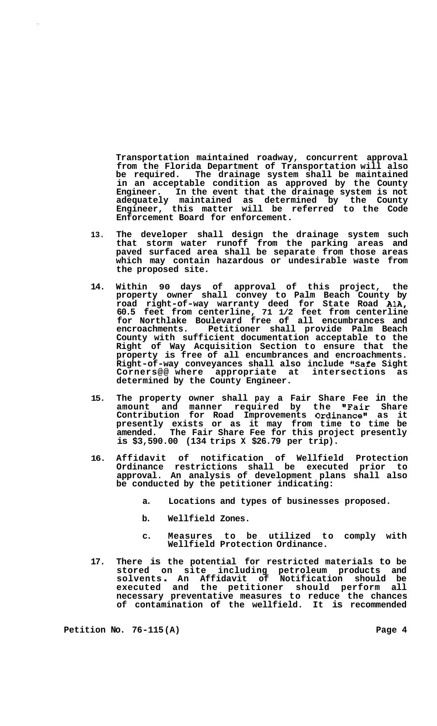**Transportation maintained roadway, concurrent approval from the Florida Department of Transportation will also be required. The drainage system shall be maintained in an acceptable condition as approved by the County Engineer. In the event that the drainage system is not adequately maintained as determined by the County Engineer, this matter will be referred to the Code Enforcement Board for enforcement.** 

- **13. The developer shall design the drainage system such that storm water runoff from the parking areas and paved surfaced area shall be separate from those areas which may contain hazardous or undesirable waste from the proposed site.**
- **14. Within 90 days of approval of this project, the property owner shall convey to Palm Beach County by road right-of-way warranty deed for State Road AlA, 60.5 feet from centerline, 71 1/2 feet from centerline for Northlake Boulevard free of all encumbrances and encroachments. Petitioner shall provide Palm Beach County with sufficient documentation acceptable to the Right of Way Acquisition Section to ensure that the property is free of all encumbrances and encroachments. Right-of-way conveyances shall also include "Safe Sight Corners@@ where appropriate at intersections as determined by the County Engineer.**
- **15. The property owner shall pay a Fair Share Fee in the amount and manner required by the "Fair Share Contribution for Road Improvements Ordinance" as it presently exists or as it may from time to time be amended. The Fair Share Fee for this project presently is \$3,590.00 (134 trips X \$26.79 per trip).**
- **16. Affidavit of notification of Wellfield Protection Ordinance restrictions shall be executed prior to approval. An analysis of development plans shall also be conducted by the petitioner indicating:** 
	- **a. Locations and types of businesses proposed.**
	- **b. Wellfield Zones.**
	- **c. Measures to be utilized to comply with Wellfield Protection Ordinance.**
- **17. There is the potential for restricted materials to be stored on site including petroleum products and solvents** . **An Affidavit of Notification should be executed and the petitioner should perform all necessary preventative measures to reduce the chances of contamination of the wellfield. It is recommended**

Petition No. 76-115(A) Page 4